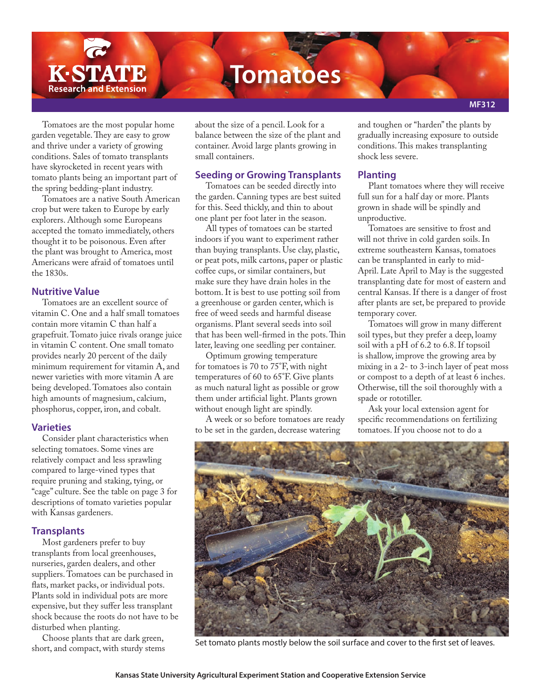

Tomatoes are the most popular home garden vegetable. They are easy to grow and thrive under a variety of growing conditions. Sales of tomato transplants have skyrocketed in recent years with tomato plants being an important part of the spring bedding-plant industry.

Tomatoes are a native South American crop but were taken to Europe by early explorers. Although some Europeans accepted the tomato immediately, others thought it to be poisonous. Even after the plant was brought to America, most Americans were afraid of tomatoes until the 1830s.

## **Nutritive Value**

Tomatoes are an excellent source of vitamin C. One and a half small tomatoes contain more vitamin C than half a grapefruit. Tomato juice rivals orange juice in vitamin C content. One small tomato provides nearly 20 percent of the daily minimum requirement for vitamin A, and newer varieties with more vitamin A are being developed. Tomatoes also contain high amounts of magnesium, calcium, phosphorus, copper, iron, and cobalt.

#### **Varieties**

Consider plant characteristics when selecting tomatoes. Some vines are relatively compact and less sprawling compared to large-vined types that require pruning and staking, tying, or "cage" culture. See the table on page 3 for descriptions of tomato varieties popular with Kansas gardeners.

# **Transplants**

Most gardeners prefer to buy transplants from local greenhouses, nurseries, garden dealers, and other suppliers. Tomatoes can be purchased in flats, market packs, or individual pots. Plants sold in individual pots are more expensive, but they suffer less transplant shock because the roots do not have to be disturbed when planting.

Choose plants that are dark green, short, and compact, with sturdy stems about the size of a pencil. Look for a balance between the size of the plant and container. Avoid large plants growing in small containers.

## **Seeding or Growing Transplants**

Tomatoes can be seeded directly into the garden. Canning types are best suited for this. Seed thickly, and thin to about one plant per foot later in the season.

All types of tomatoes can be started indoors if you want to experiment rather than buying transplants. Use clay, plastic, or peat pots, milk cartons, paper or plastic coffee cups, or similar containers, but make sure they have drain holes in the bottom. It is best to use potting soil from a greenhouse or garden center, which is free of weed seeds and harmful disease organisms. Plant several seeds into soil that has been well-firmed in the pots. Thin later, leaving one seedling per container.

Optimum growing temperature for tomatoes is 70 to 75°F, with night temperatures of 60 to 65°F. Give plants as much natural light as possible or grow them under artificial light. Plants grown without enough light are spindly.

A week or so before tomatoes are ready to be set in the garden, decrease watering

and toughen or "harden" the plants by gradually increasing exposure to outside conditions. This makes transplanting shock less severe.

# **Planting**

Plant tomatoes where they will receive full sun for a half day or more. Plants grown in shade will be spindly and unproductive.

Tomatoes are sensitive to frost and will not thrive in cold garden soils. In extreme southeastern Kansas, tomatoes can be transplanted in early to mid-April. Late April to May is the suggested transplanting date for most of eastern and central Kansas. If there is a danger of frost after plants are set, be prepared to provide temporary cover.

Tomatoes will grow in many different soil types, but they prefer a deep, loamy soil with a pH of 6.2 to 6.8. If topsoil is shallow, improve the growing area by mixing in a 2- to 3-inch layer of peat moss or compost to a depth of at least 6 inches. Otherwise, till the soil thoroughly with a spade or rototiller.

Ask your local extension agent for specific recommendations on fertilizing tomatoes. If you choose not to do a



Set tomato plants mostly below the soil surface and cover to the first set of leaves.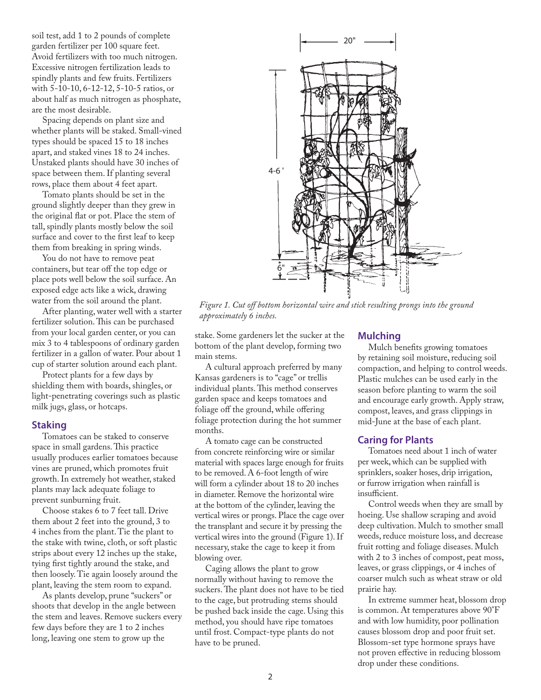soil test, add 1 to 2 pounds of complete garden fertilizer per 100 square feet. Avoid fertilizers with too much nitrogen. Excessive nitrogen fertilization leads to spindly plants and few fruits. Fertilizers with 5-10-10, 6-12-12, 5-10-5 ratios, or about half as much nitrogen as phosphate, are the most desirable.

Spacing depends on plant size and whether plants will be staked. Small-vined types should be spaced 15 to 18 inches apart, and staked vines 18 to 24 inches. Unstaked plants should have 30 inches of space between them. If planting several rows, place them about 4 feet apart.

Tomato plants should be set in the ground slightly deeper than they grew in the original flat or pot. Place the stem of tall, spindly plants mostly below the soil surface and cover to the first leaf to keep them from breaking in spring winds.

You do not have to remove peat containers, but tear off the top edge or place pots well below the soil surface. An exposed edge acts like a wick, drawing water from the soil around the plant.

After planting, water well with a starter fertilizer solution. This can be purchased from your local garden center, or you can mix 3 to 4 tablespoons of ordinary garden fertilizer in a gallon of water. Pour about 1 cup of starter solution around each plant.

Protect plants for a few days by shielding them with boards, shingles, or light-penetrating coverings such as plastic milk jugs, glass, or hotcaps.

#### **Staking**

Tomatoes can be staked to conserve space in small gardens. This practice usually produces earlier tomatoes because vines are pruned, which promotes fruit growth. In extremely hot weather, staked plants may lack adequate foliage to prevent sunburning fruit.

Choose stakes 6 to 7 feet tall. Drive them about 2 feet into the ground, 3 to 4 inches from the plant. Tie the plant to the stake with twine, cloth, or soft plastic strips about every 12 inches up the stake, tying first tightly around the stake, and then loosely. Tie again loosely around the plant, leaving the stem room to expand.

As plants develop, prune "suckers" or shoots that develop in the angle between the stem and leaves. Remove suckers every few days before they are 1 to 2 inches long, leaving one stem to grow up the



*Figure 1. Cut off bottom horizontal wire and stick resulting prongs into the ground approximately 6 inches.*

stake. Some gardeners let the sucker at the bottom of the plant develop, forming two main stems.

A cultural approach preferred by many Kansas gardeners is to "cage" or trellis individual plants. This method conserves garden space and keeps tomatoes and foliage off the ground, while offering foliage protection during the hot summer months.

A tomato cage can be constructed from concrete reinforcing wire or similar material with spaces large enough for fruits to be removed. A 6-foot length of wire will form a cylinder about 18 to 20 inches in diameter. Remove the horizontal wire at the bottom of the cylinder, leaving the vertical wires or prongs. Place the cage over the transplant and secure it by pressing the vertical wires into the ground (Figure 1). If necessary, stake the cage to keep it from blowing over.

Caging allows the plant to grow normally without having to remove the suckers. The plant does not have to be tied to the cage, but protruding stems should be pushed back inside the cage. Using this method, you should have ripe tomatoes until frost. Compact-type plants do not have to be pruned.

### **Mulching**

Mulch benefits growing tomatoes by retaining soil moisture, reducing soil compaction, and helping to control weeds. Plastic mulches can be used early in the season before planting to warm the soil and encourage early growth. Apply straw, compost, leaves, and grass clippings in mid-June at the base of each plant.

#### **Caring for Plants**

Tomatoes need about 1 inch of water per week, which can be supplied with sprinklers, soaker hoses, drip irrigation, or furrow irrigation when rainfall is insufficient.

Control weeds when they are small by hoeing. Use shallow scraping and avoid deep cultivation. Mulch to smother small weeds, reduce moisture loss, and decrease fruit rotting and foliage diseases. Mulch with 2 to 3 inches of compost, peat moss, leaves, or grass clippings, or 4 inches of coarser mulch such as wheat straw or old prairie hay.

In extreme summer heat, blossom drop is common. At temperatures above 90°F and with low humidity, poor pollination causes blossom drop and poor fruit set. Blossom-set type hormone sprays have not proven effective in reducing blossom drop under these conditions.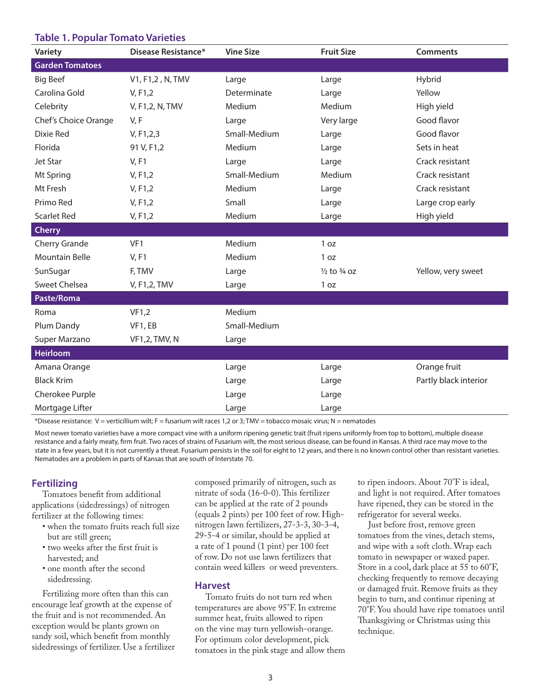### **Table 1. Popular Tomato Varieties**

| <b>Variety</b>         | <b>Disease Resistance*</b> | <b>Vine Size</b> | <b>Fruit Size</b>                 | <b>Comments</b>       |
|------------------------|----------------------------|------------------|-----------------------------------|-----------------------|
| <b>Garden Tomatoes</b> |                            |                  |                                   |                       |
| <b>Big Beef</b>        | V1, F1,2, N, TMV           | Large            | Large                             | Hybrid                |
| Carolina Gold          | V, F1, 2                   | Determinate      | Large                             | Yellow                |
| Celebrity              | V, F1,2, N, TMV            | Medium           | Medium                            | High yield            |
| Chef's Choice Orange   | V, F                       | Large            | Very large                        | Good flavor           |
| Dixie Red              | V, F1, 2, 3                | Small-Medium     | Large                             | Good flavor           |
| Florida                | 91 V, F1,2                 | Medium           | Large                             | Sets in heat          |
| Jet Star               | V, F1                      | Large            | Large                             | Crack resistant       |
| Mt Spring              | V, F1,2                    | Small-Medium     | Medium                            | Crack resistant       |
| Mt Fresh               | V, F1,2                    | Medium           | Large                             | Crack resistant       |
| Primo Red              | V, F1,2                    | Small            | Large                             | Large crop early      |
| <b>Scarlet Red</b>     | V, F1,2                    | Medium           | Large                             | High yield            |
| <b>Cherry</b>          |                            |                  |                                   |                       |
| Cherry Grande          | VF1                        | Medium           | 1 oz                              |                       |
| <b>Mountain Belle</b>  | V, F1                      | Medium           | 1 oz                              |                       |
| SunSugar               | F, TMV                     | Large            | $\frac{1}{2}$ to $\frac{3}{4}$ oz | Yellow, very sweet    |
| <b>Sweet Chelsea</b>   | V, F1,2, TMV               | Large            | 1 oz                              |                       |
| Paste/Roma             |                            |                  |                                   |                       |
| Roma                   | VF1,2                      | Medium           |                                   |                       |
| Plum Dandy             | VF1, EB                    | Small-Medium     |                                   |                       |
| Super Marzano          | <b>VF1,2, TMV, N</b>       | Large            |                                   |                       |
| <b>Heirloom</b>        |                            |                  |                                   |                       |
| Amana Orange           |                            | Large            | Large                             | Orange fruit          |
| <b>Black Krim</b>      |                            | Large            | Large                             | Partly black interior |
| Cherokee Purple        |                            | Large            | Large                             |                       |
| Mortgage Lifter        |                            | Large            | Large                             |                       |

\*Disease resistance: V = verticillium wilt; F = fusarium wilt races 1,2 or 3; TMV = tobacco mosaic virus; N = nematodes

Most newer tomato varieties have a more compact vine with a uniform ripening genetic trait (fruit ripens uniformly from top to bottom), multiple disease resistance and a fairly meaty, firm fruit. Two races of strains of Fusarium wilt, the most serious disease, can be found in Kansas. A third race may move to the state in a few years, but it is not currently a threat. Fusarium persists in the soil for eight to 12 years, and there is no known control other than resistant varieties. Nematodes are a problem in parts of Kansas that are south of Interstate 70.

### **Fertilizing**

Tomatoes benefit from additional applications (sidedressings) of nitrogen fertilizer at the following times:

- when the tomato fruits reach full size but are still green;
- two weeks after the first fruit is harvested; and
- one month after the second sidedressing.

Fertilizing more often than this can encourage leaf growth at the expense of the fruit and is not recommended. An exception would be plants grown on sandy soil, which benefit from monthly sidedressings of fertilizer. Use a fertilizer composed primarily of nitrogen, such as nitrate of soda (16-0-0). This fertilizer can be applied at the rate of 2 pounds (equals 2 pints) per 100 feet of row. Highnitrogen lawn fertilizers, 27-3-3, 30-3-4, 29-5-4 or similar, should be applied at a rate of 1 pound (1 pint) per 100 feet of row. Do not use lawn fertilizers that contain weed killers or weed preventers.

#### **Harvest**

Tomato fruits do not turn red when temperatures are above 95°F. In extreme summer heat, fruits allowed to ripen on the vine may turn yellowish-orange. For optimum color development, pick tomatoes in the pink stage and allow them

to ripen indoors. About 70°F is ideal, and light is not required. After tomatoes have ripened, they can be stored in the refrigerator for several weeks.

Just before frost, remove green tomatoes from the vines, detach stems, and wipe with a soft cloth. Wrap each tomato in newspaper or waxed paper. Store in a cool, dark place at 55 to 60°F, checking frequently to remove decaying or damaged fruit. Remove fruits as they begin to turn, and continue ripening at 70°F. You should have ripe tomatoes until Thanksgiving or Christmas using this technique.